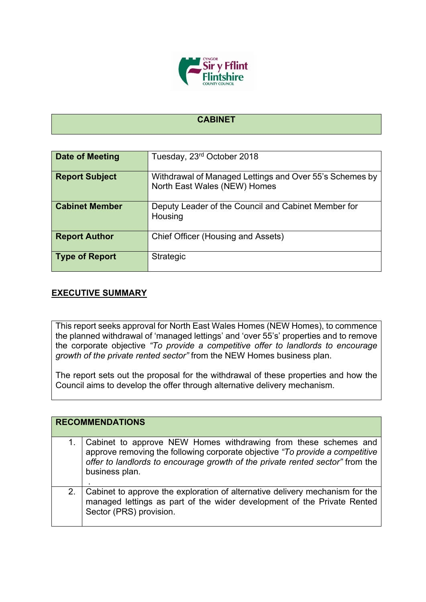

## **CABINET**

| Date of Meeting       | Tuesday, 23 <sup>rd</sup> October 2018                                                  |
|-----------------------|-----------------------------------------------------------------------------------------|
| <b>Report Subject</b> | Withdrawal of Managed Lettings and Over 55's Schemes by<br>North East Wales (NEW) Homes |
| <b>Cabinet Member</b> | Deputy Leader of the Council and Cabinet Member for<br>Housing                          |
| <b>Report Author</b>  | Chief Officer (Housing and Assets)                                                      |
| <b>Type of Report</b> | <b>Strategic</b>                                                                        |

## **EXECUTIVE SUMMARY**

This report seeks approval for North East Wales Homes (NEW Homes), to commence the planned withdrawal of 'managed lettings' and 'over 55's' properties and to remove the corporate objective *"To provide a competitive offer to landlords to encourage growth of the private rented sector"* from the NEW Homes business plan.

The report sets out the proposal for the withdrawal of these properties and how the Council aims to develop the offer through alternative delivery mechanism.

|    | <b>RECOMMENDATIONS</b>                                                                                                                                                                                                                             |  |
|----|----------------------------------------------------------------------------------------------------------------------------------------------------------------------------------------------------------------------------------------------------|--|
|    | Cabinet to approve NEW Homes withdrawing from these schemes and<br>approve removing the following corporate objective "To provide a competitive<br>offer to landlords to encourage growth of the private rented sector" from the<br>business plan. |  |
| 2. | Cabinet to approve the exploration of alternative delivery mechanism for the<br>managed lettings as part of the wider development of the Private Rented<br>Sector (PRS) provision.                                                                 |  |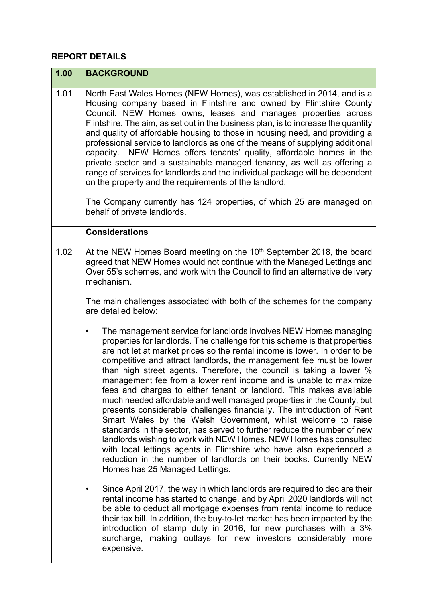## **REPORT DETAILS**

| 1.00 | <b>BACKGROUND</b>                                                                                                                                                                                                                                                                                                                                                                                                                                                                                                                                                                                                                                                                                                                                                                                                                                                                                                                                                                                                                            |
|------|----------------------------------------------------------------------------------------------------------------------------------------------------------------------------------------------------------------------------------------------------------------------------------------------------------------------------------------------------------------------------------------------------------------------------------------------------------------------------------------------------------------------------------------------------------------------------------------------------------------------------------------------------------------------------------------------------------------------------------------------------------------------------------------------------------------------------------------------------------------------------------------------------------------------------------------------------------------------------------------------------------------------------------------------|
| 1.01 | North East Wales Homes (NEW Homes), was established in 2014, and is a<br>Housing company based in Flintshire and owned by Flintshire County<br>Council. NEW Homes owns, leases and manages properties across<br>Flintshire. The aim, as set out in the business plan, is to increase the quantity<br>and quality of affordable housing to those in housing need, and providing a<br>professional service to landlords as one of the means of supplying additional<br>capacity. NEW Homes offers tenants' quality, affordable homes in the<br>private sector and a sustainable managed tenancy, as well as offering a<br>range of services for landlords and the individual package will be dependent<br>on the property and the requirements of the landlord.<br>The Company currently has 124 properties, of which 25 are managed on<br>behalf of private landlords.                                                                                                                                                                        |
|      | <b>Considerations</b>                                                                                                                                                                                                                                                                                                                                                                                                                                                                                                                                                                                                                                                                                                                                                                                                                                                                                                                                                                                                                        |
| 1.02 | At the NEW Homes Board meeting on the 10 <sup>th</sup> September 2018, the board<br>agreed that NEW Homes would not continue with the Managed Lettings and<br>Over 55's schemes, and work with the Council to find an alternative delivery<br>mechanism.<br>The main challenges associated with both of the schemes for the company<br>are detailed below:<br>The management service for landlords involves NEW Homes managing<br>٠<br>properties for landlords. The challenge for this scheme is that properties<br>are not let at market prices so the rental income is lower. In order to be<br>competitive and attract landlords, the management fee must be lower<br>than high street agents. Therefore, the council is taking a lower %<br>management fee from a lower rent income and is unable to maximize<br>fees and charges to either tenant or landlord. This makes available<br>much needed affordable and well managed properties in the County, but<br>presents considerable challenges financially. The introduction of Rent |
|      | Smart Wales by the Welsh Government, whilst welcome to raise<br>standards in the sector, has served to further reduce the number of new<br>landlords wishing to work with NEW Homes. NEW Homes has consulted<br>with local lettings agents in Flintshire who have also experienced a<br>reduction in the number of landlords on their books. Currently NEW<br>Homes has 25 Managed Lettings.                                                                                                                                                                                                                                                                                                                                                                                                                                                                                                                                                                                                                                                 |
|      | Since April 2017, the way in which landlords are required to declare their<br>rental income has started to change, and by April 2020 landlords will not<br>be able to deduct all mortgage expenses from rental income to reduce<br>their tax bill. In addition, the buy-to-let market has been impacted by the<br>introduction of stamp duty in 2016, for new purchases with a 3%<br>surcharge, making outlays for new investors considerably more<br>expensive.                                                                                                                                                                                                                                                                                                                                                                                                                                                                                                                                                                             |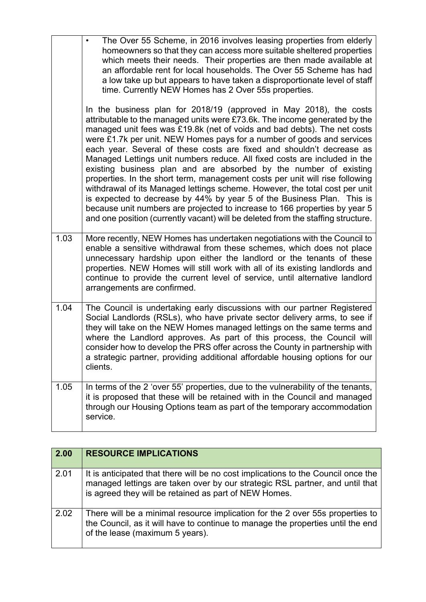|      | The Over 55 Scheme, in 2016 involves leasing properties from elderly<br>homeowners so that they can access more suitable sheltered properties<br>which meets their needs. Their properties are then made available at<br>an affordable rent for local households. The Over 55 Scheme has had<br>a low take up but appears to have taken a disproportionate level of staff<br>time. Currently NEW Homes has 2 Over 55s properties.                                                                                                                                                                                                                                                                                                                                                                                                                                                                                                            |
|------|----------------------------------------------------------------------------------------------------------------------------------------------------------------------------------------------------------------------------------------------------------------------------------------------------------------------------------------------------------------------------------------------------------------------------------------------------------------------------------------------------------------------------------------------------------------------------------------------------------------------------------------------------------------------------------------------------------------------------------------------------------------------------------------------------------------------------------------------------------------------------------------------------------------------------------------------|
|      | In the business plan for 2018/19 (approved in May 2018), the costs<br>attributable to the managed units were £73.6k. The income generated by the<br>managed unit fees was £19.8k (net of voids and bad debts). The net costs<br>were £1.7k per unit. NEW Homes pays for a number of goods and services<br>each year. Several of these costs are fixed and shouldn't decrease as<br>Managed Lettings unit numbers reduce. All fixed costs are included in the<br>existing business plan and are absorbed by the number of existing<br>properties. In the short term, management costs per unit will rise following<br>withdrawal of its Managed lettings scheme. However, the total cost per unit<br>is expected to decrease by 44% by year 5 of the Business Plan. This is<br>because unit numbers are projected to increase to 166 properties by year 5<br>and one position (currently vacant) will be deleted from the staffing structure. |
| 1.03 | More recently, NEW Homes has undertaken negotiations with the Council to<br>enable a sensitive withdrawal from these schemes, which does not place<br>unnecessary hardship upon either the landlord or the tenants of these<br>properties. NEW Homes will still work with all of its existing landlords and<br>continue to provide the current level of service, until alternative landlord<br>arrangements are confirmed.                                                                                                                                                                                                                                                                                                                                                                                                                                                                                                                   |
| 1.04 | The Council is undertaking early discussions with our partner Registered<br>Social Landlords (RSLs), who have private sector delivery arms, to see if<br>they will take on the NEW Homes managed lettings on the same terms and<br>where the Landlord approves. As part of this process, the Council will<br>consider how to develop the PRS offer across the County in partnership with<br>a strategic partner, providing additional affordable housing options for our<br>clients.                                                                                                                                                                                                                                                                                                                                                                                                                                                         |
| 1.05 | In terms of the 2 'over 55' properties, due to the vulnerability of the tenants,<br>it is proposed that these will be retained with in the Council and managed<br>through our Housing Options team as part of the temporary accommodation<br>service.                                                                                                                                                                                                                                                                                                                                                                                                                                                                                                                                                                                                                                                                                        |

| 2.00 | <b>RESOURCE IMPLICATIONS</b>                                                                                                                                                                                               |
|------|----------------------------------------------------------------------------------------------------------------------------------------------------------------------------------------------------------------------------|
| 2.01 | It is anticipated that there will be no cost implications to the Council once the<br>managed lettings are taken over by our strategic RSL partner, and until that<br>is agreed they will be retained as part of NEW Homes. |
| 2.02 | There will be a minimal resource implication for the 2 over 55s properties to<br>the Council, as it will have to continue to manage the properties until the end<br>of the lease (maximum 5 years).                        |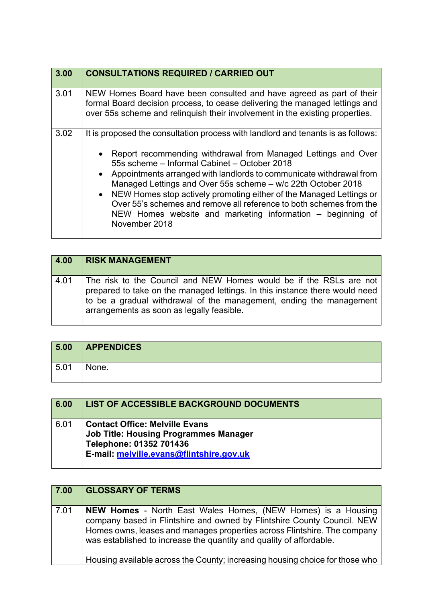| 3.00 | <b>CONSULTATIONS REQUIRED / CARRIED OUT</b>                                                                                                                                                                                                                                                                                                                                                                                                                                                                                                                               |
|------|---------------------------------------------------------------------------------------------------------------------------------------------------------------------------------------------------------------------------------------------------------------------------------------------------------------------------------------------------------------------------------------------------------------------------------------------------------------------------------------------------------------------------------------------------------------------------|
| 3.01 | NEW Homes Board have been consulted and have agreed as part of their<br>formal Board decision process, to cease delivering the managed lettings and<br>over 55s scheme and relinguish their involvement in the existing properties.                                                                                                                                                                                                                                                                                                                                       |
| 3.02 | It is proposed the consultation process with landlord and tenants is as follows:<br>Report recommending withdrawal from Managed Lettings and Over<br>55s scheme – Informal Cabinet – October 2018<br>• Appointments arranged with landlords to communicate withdrawal from<br>Managed Lettings and Over 55s scheme - w/c 22th October 2018<br>• NEW Homes stop actively promoting either of the Managed Lettings or<br>Over 55's schemes and remove all reference to both schemes from the<br>NEW Homes website and marketing information – beginning of<br>November 2018 |

| 4.00 | <b>RISK MANAGEMENT</b>                                                                                                                                                                                                                                                |
|------|-----------------------------------------------------------------------------------------------------------------------------------------------------------------------------------------------------------------------------------------------------------------------|
| 4.01 | The risk to the Council and NEW Homes would be if the RSLs are not<br>prepared to take on the managed lettings. In this instance there would need<br>to be a gradual withdrawal of the management, ending the management<br>arrangements as soon as legally feasible. |

| 5.00 | <b>APPENDICES</b> |
|------|-------------------|
| 5.01 | None.             |

| 6.00 | <b>LIST OF ACCESSIBLE BACKGROUND DOCUMENTS</b>                                                                                                               |
|------|--------------------------------------------------------------------------------------------------------------------------------------------------------------|
| 6.01 | <b>Contact Office: Melville Evans</b><br><b>Job Title: Housing Programmes Manager</b><br>Telephone: 01352 701436<br>E-mail: melville.evans@flintshire.gov.uk |

| 7.00 | <b>GLOSSARY OF TERMS</b>                                                                                                                                                                                                                                                                                                                                                          |
|------|-----------------------------------------------------------------------------------------------------------------------------------------------------------------------------------------------------------------------------------------------------------------------------------------------------------------------------------------------------------------------------------|
| 7.01 | <b>NEW Homes</b> - North East Wales Homes, (NEW Homes) is a Housing<br>company based in Flintshire and owned by Flintshire County Council. NEW<br>Homes owns, leases and manages properties across Flintshire. The company<br>was established to increase the quantity and quality of affordable.<br>Housing available across the County; increasing housing choice for those who |